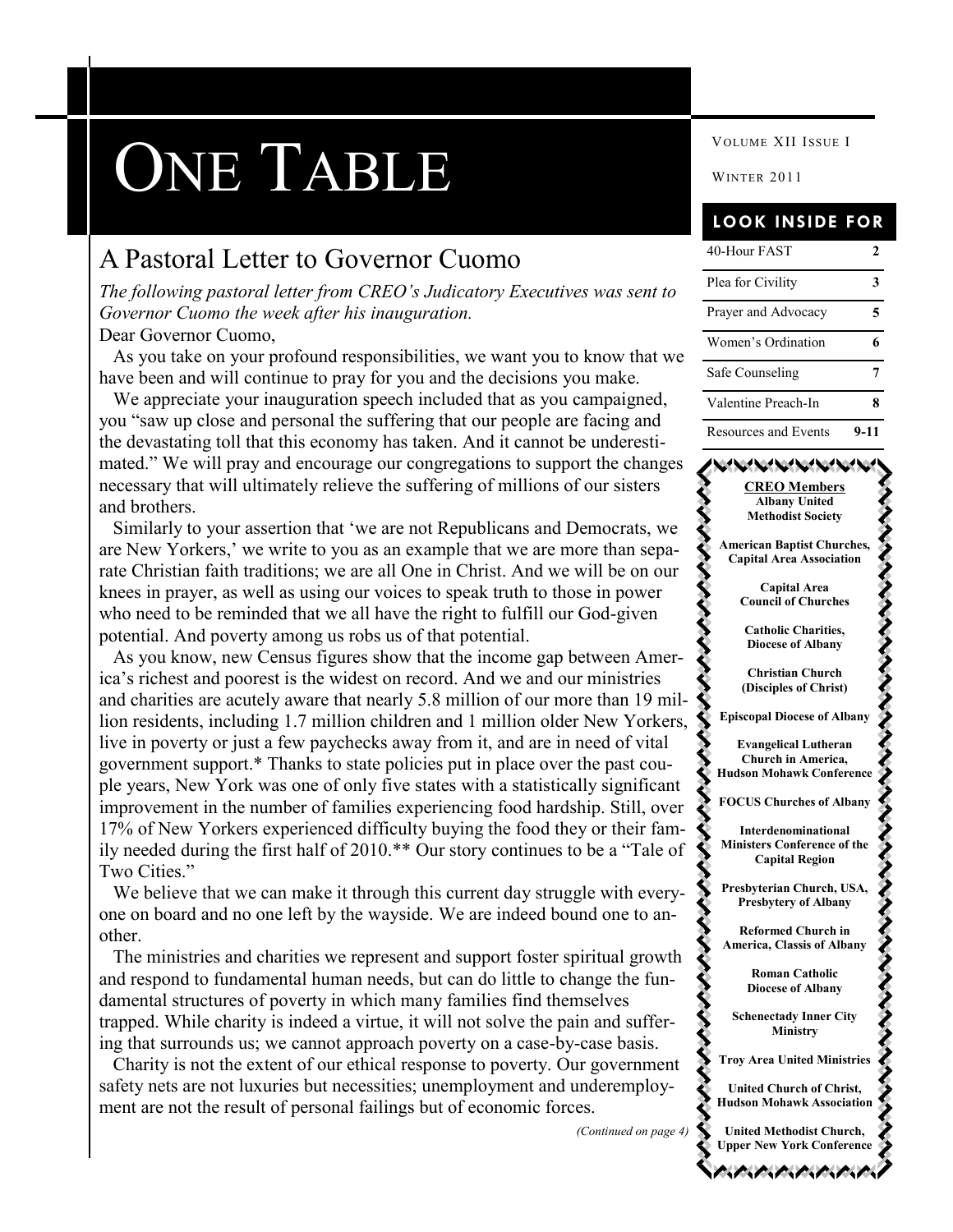# ONE TABLE WINTER 2011

## A Pastoral Letter to Governor Cuomo

*The following pastoral letter from CREO's Judicatory Executives was sent to Governor Cuomo the week after his inauguration.* Dear Governor Cuomo,

 As you take on your profound responsibilities, we want you to know that we have been and will continue to pray for you and the decisions you make.

 We appreciate your inauguration speech included that as you campaigned, you "saw up close and personal the suffering that our people are facing and the devastating toll that this economy has taken. And it cannot be underestimated." We will pray and encourage our congregations to support the changes necessary that will ultimately relieve the suffering of millions of our sisters and brothers.

Similarly to your assertion that 'we are not Republicans and Democrats, we are New Yorkers,' we write to you as an example that we are more than separate Christian faith traditions; we are all One in Christ. And we will be on our knees in prayer, as well as using our voices to speak truth to those in power who need to be reminded that we all have the right to fulfill our God-given potential. And poverty among us robs us of that potential.

 As you know, new Census figures show that the income gap between America's richest and poorest is the widest on record. And we and our ministries and charities are acutely aware that nearly 5.8 million of our more than 19 million residents, including 1.7 million children and 1 million older New Yorkers, live in poverty or just a few paychecks away from it, and are in need of vital government support.\* Thanks to state policies put in place over the past couple years, New York was one of only five states with a statistically significant improvement in the number of families experiencing food hardship. Still, over 17% of New Yorkers experienced difficulty buying the food they or their family needed during the first half of  $2010.*$  Our story continues to be a "Tale of Two Cities."

We believe that we can make it through this current day struggle with everyone on board and no one left by the wayside. We are indeed bound one to another.

 The ministries and charities we represent and support foster spiritual growth and respond to fundamental human needs, but can do little to change the fundamental structures of poverty in which many families find themselves trapped. While charity is indeed a virtue, it will not solve the pain and suffering that surrounds us; we cannot approach poverty on a case-by-case basis.

 Charity is not the extent of our ethical response to poverty. Our government safety nets are not luxuries but necessities; unemployment and underemployment are not the result of personal failings but of economic forces.

*(Continued on page 4)*

VOLUME XII ISSUE I

#### **LOOK INSIDE FOR**

| 40-Hour FAST         |      |
|----------------------|------|
| Plea for Civility    |      |
| Prayer and Advocacy  | 5    |
| Women's Ordination   |      |
| Safe Counseling      |      |
| Valentine Preach-In  | х    |
| Resources and Events | 9-11 |

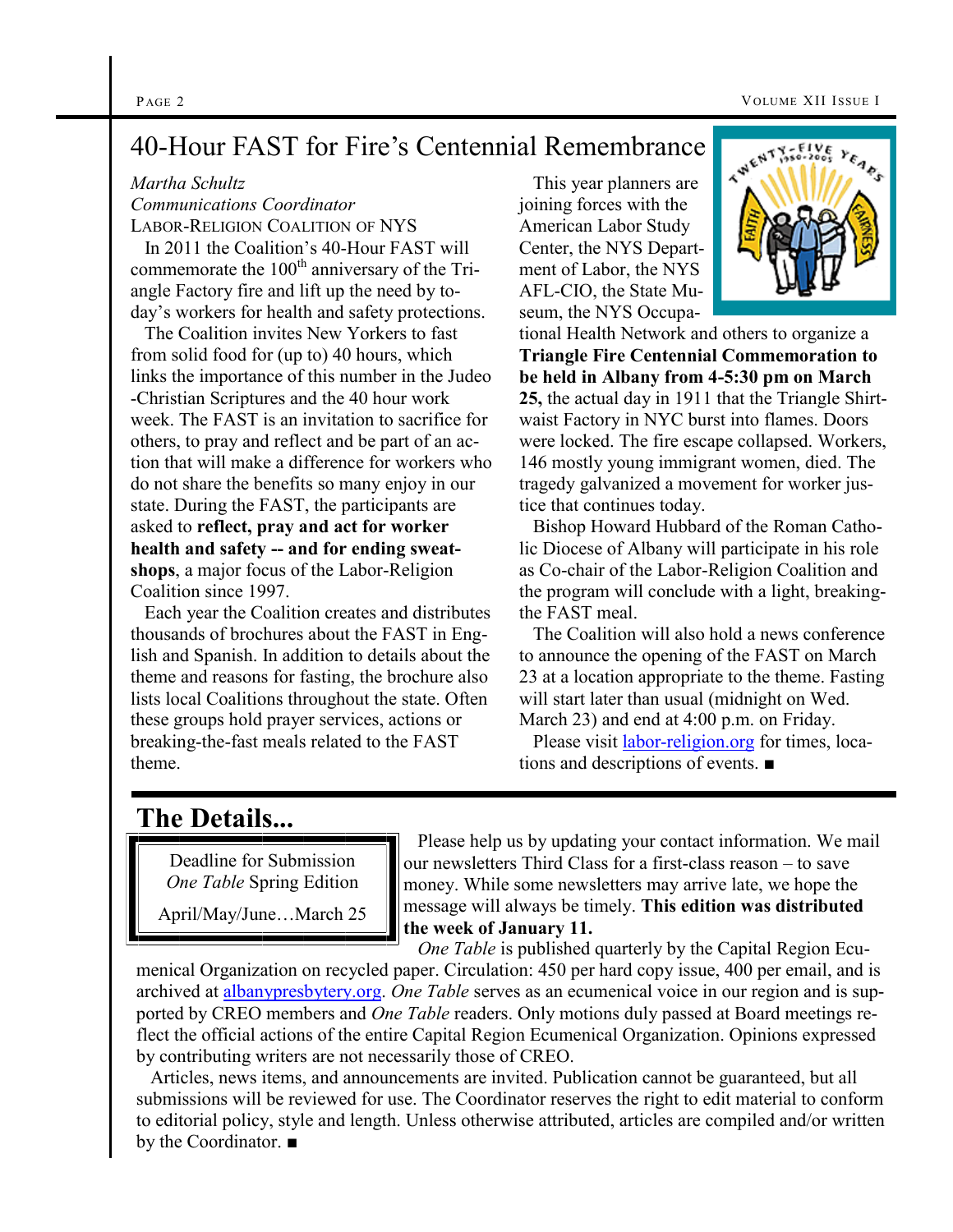# 40-Hour FAST for Fire's Centennial Remembrance

#### *Martha Schultz*

*Communications Coordinator* LABOR-RELIGION COALITION OF NYS

 In 2011 the Coalition's 40-Hour FAST will commemorate the 100<sup>th</sup> anniversary of the Triangle Factory fire and lift up the need by today's workers for health and safety protections.

 The Coalition invites New Yorkers to fast from solid food for (up to) 40 hours, which links the importance of this number in the Judeo -Christian Scriptures and the 40 hour work week. The FAST is an invitation to sacrifice for others, to pray and reflect and be part of an action that will make a difference for workers who do not share the benefits so many enjoy in our state. During the FAST, the participants are asked to **reflect, pray and act for worker health and safety -- and for ending sweatshops**, a major focus of the Labor-Religion Coalition since 1997.

 Each year the Coalition creates and distributes thousands of brochures about the FAST in English and Spanish. In addition to details about the theme and reasons for fasting, the brochure also lists local Coalitions throughout the state. Often these groups hold prayer services, actions or breaking-the-fast meals related to the FAST theme.

 This year planners are joining forces with the American Labor Study Center, the NYS Department of Labor, the NYS AFL-CIO, the State Museum, the NYS Occupa-



tional Health Network and others to organize a **Triangle Fire Centennial Commemoration to be held in Albany from 4-5:30 pm on March 25,** the actual day in 1911 that the Triangle Shirtwaist Factory in NYC burst into flames. Doors were locked. The fire escape collapsed. Workers, 146 mostly young immigrant women, died. The tragedy galvanized a movement for worker justice that continues today.

 Bishop Howard Hubbard of the Roman Catholic Diocese of Albany will participate in his role as Co-chair of the Labor-Religion Coalition and the program will conclude with a light, breakingthe FAST meal.

 The Coalition will also hold a news conference to announce the opening of the FAST on March 23 at a location appropriate to the theme. Fasting will start later than usual (midnight on Wed. March 23) and end at 4:00 p.m. on Friday.

 Please visit [labor-religion.org](http://www.labor-religion.org/) for times, locations and descriptions of events. ■

# **The Details...**

Deadline for Submission *One Table* Spring Edition

April/May/June…March 25

 Please help us by updating your contact information. We mail our newsletters Third Class for a first-class reason – to save money. While some newsletters may arrive late, we hope the message will always be timely. **This edition was distributed the week of January 11.**

 *One Table* is published quarterly by the Capital Region Ecumenical Organization on recycled paper. Circulation: 450 per hard copy issue, 400 per email, and is archived at [albanypresbytery.org.](http://albanypresbytery.org/one_table_newsletter.html) *One Table* serves as an ecumenical voice in our region and is supported by CREO members and *One Table* readers. Only motions duly passed at Board meetings reflect the official actions of the entire Capital Region Ecumenical Organization. Opinions expressed by contributing writers are not necessarily those of CREO.

 Articles, news items, and announcements are invited. Publication cannot be guaranteed, but all submissions will be reviewed for use. The Coordinator reserves the right to edit material to conform to editorial policy, style and length. Unless otherwise attributed, articles are compiled and/or written by the Coordinator. ■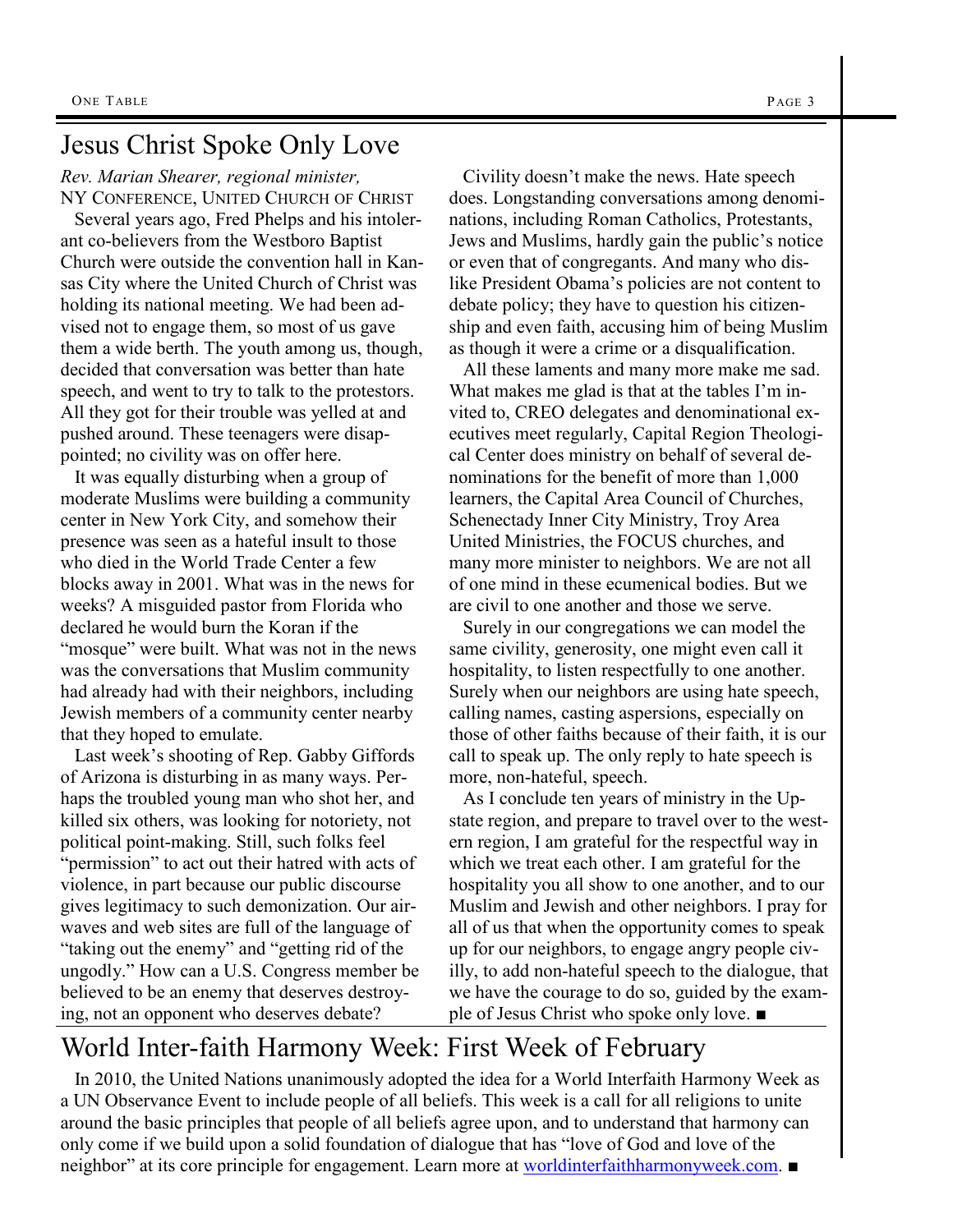## Jesus Christ Spoke Only Love

*Rev. Marian Shearer, regional minister,*  NY CONFERENCE, UNITED CHURCH OF CHRIST

 Several years ago, Fred Phelps and his intolerant co-believers from the Westboro Baptist Church were outside the convention hall in Kansas City where the United Church of Christ was holding its national meeting. We had been advised not to engage them, so most of us gave them a wide berth. The youth among us, though, decided that conversation was better than hate speech, and went to try to talk to the protestors. All they got for their trouble was yelled at and pushed around. These teenagers were disappointed; no civility was on offer here.

 It was equally disturbing when a group of moderate Muslims were building a community center in New York City, and somehow their presence was seen as a hateful insult to those who died in the World Trade Center a few blocks away in 2001. What was in the news for weeks? A misguided pastor from Florida who declared he would burn the Koran if the "mosque" were built. What was not in the news was the conversations that Muslim community had already had with their neighbors, including Jewish members of a community center nearby that they hoped to emulate.

 Last week's shooting of Rep. Gabby Giffords of Arizona is disturbing in as many ways. Perhaps the troubled young man who shot her, and killed six others, was looking for notoriety, not political point-making. Still, such folks feel "permission" to act out their hatred with acts of violence, in part because our public discourse gives legitimacy to such demonization. Our airwaves and web sites are full of the language of "taking out the enemy" and "getting rid of the ungodly.‖ How can a U.S. Congress member be believed to be an enemy that deserves destroying, not an opponent who deserves debate?

 Civility doesn't make the news. Hate speech does. Longstanding conversations among denominations, including Roman Catholics, Protestants, Jews and Muslims, hardly gain the public's notice or even that of congregants. And many who dislike President Obama's policies are not content to debate policy; they have to question his citizen-

as though it were a crime or a disqualification. All these laments and many more make me sad. What makes me glad is that at the tables I'm invited to, CREO delegates and denominational executives meet regularly, Capital Region Theological Center does ministry on behalf of several denominations for the benefit of more than 1,000 learners, the Capital Area Council of Churches, Schenectady Inner City Ministry, Troy Area United Ministries, the FOCUS churches, and many more minister to neighbors. We are not all of one mind in these ecumenical bodies. But we are civil to one another and those we serve.

ship and even faith, accusing him of being Muslim

 Surely in our congregations we can model the same civility, generosity, one might even call it hospitality, to listen respectfully to one another. Surely when our neighbors are using hate speech, calling names, casting aspersions, especially on those of other faiths because of their faith, it is our call to speak up. The only reply to hate speech is more, non-hateful, speech.

 As I conclude ten years of ministry in the Upstate region, and prepare to travel over to the western region, I am grateful for the respectful way in which we treat each other. I am grateful for the hospitality you all show to one another, and to our Muslim and Jewish and other neighbors. I pray for all of us that when the opportunity comes to speak up for our neighbors, to engage angry people civilly, to add non-hateful speech to the dialogue, that we have the courage to do so, guided by the example of Jesus Christ who spoke only love. ■

# World Inter-faith Harmony Week: First Week of February

 In 2010, the United Nations unanimously adopted the idea for a World Interfaith Harmony Week as a UN Observance Event to include people of all beliefs. This week is a call for all religions to unite around the basic principles that people of all beliefs agree upon, and to understand that harmony can only come if we build upon a solid foundation of dialogue that has "love of God and love of the neighbor" at its core principle for engagement. Learn more at [worldinterfaithharmonyweek.com](http://worldinterfaithharmonyweek.com/). ■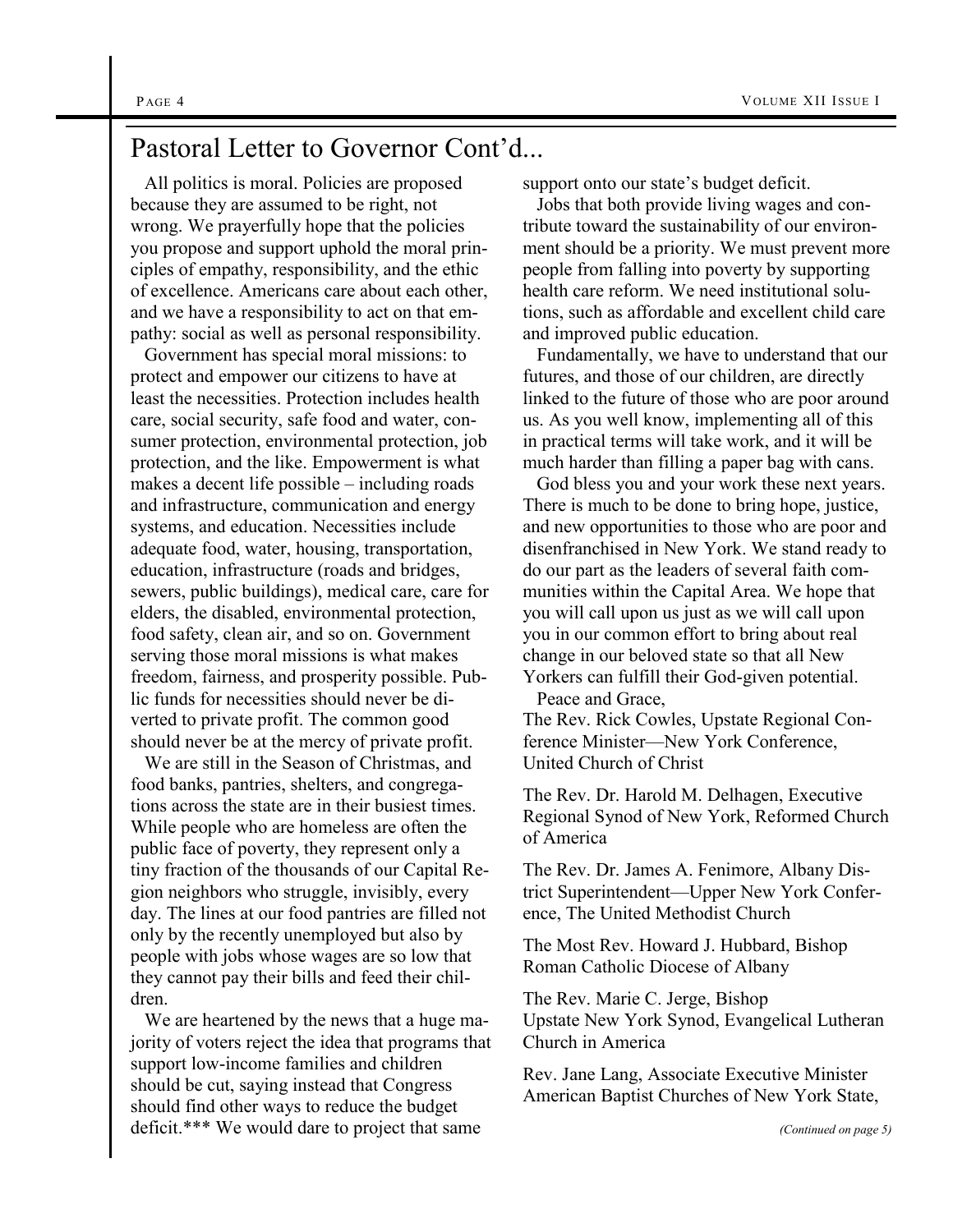#### Pastoral Letter to Governor Cont'd...

 All politics is moral. Policies are proposed because they are assumed to be right, not wrong. We prayerfully hope that the policies you propose and support uphold the moral principles of empathy, responsibility, and the ethic of excellence. Americans care about each other, and we have a responsibility to act on that empathy: social as well as personal responsibility.

 Government has special moral missions: to protect and empower our citizens to have at least the necessities. Protection includes health care, social security, safe food and water, consumer protection, environmental protection, job protection, and the like. Empowerment is what makes a decent life possible – including roads and infrastructure, communication and energy systems, and education. Necessities include adequate food, water, housing, transportation, education, infrastructure (roads and bridges, sewers, public buildings), medical care, care for elders, the disabled, environmental protection, food safety, clean air, and so on. Government serving those moral missions is what makes freedom, fairness, and prosperity possible. Public funds for necessities should never be diverted to private profit. The common good should never be at the mercy of private profit.

 We are still in the Season of Christmas, and food banks, pantries, shelters, and congregations across the state are in their busiest times. While people who are homeless are often the public face of poverty, they represent only a tiny fraction of the thousands of our Capital Region neighbors who struggle, invisibly, every day. The lines at our food pantries are filled not only by the recently unemployed but also by people with jobs whose wages are so low that they cannot pay their bills and feed their children.

 We are heartened by the news that a huge majority of voters reject the idea that programs that support low-income families and children should be cut, saying instead that Congress should find other ways to reduce the budget deficit.\*\*\* We would dare to project that same

support onto our state's budget deficit.

 Jobs that both provide living wages and contribute toward the sustainability of our environment should be a priority. We must prevent more people from falling into poverty by supporting health care reform. We need institutional solutions, such as affordable and excellent child care and improved public education.

 Fundamentally, we have to understand that our futures, and those of our children, are directly linked to the future of those who are poor around us. As you well know, implementing all of this in practical terms will take work, and it will be much harder than filling a paper bag with cans.

 God bless you and your work these next years. There is much to be done to bring hope, justice, and new opportunities to those who are poor and disenfranchised in New York. We stand ready to do our part as the leaders of several faith communities within the Capital Area. We hope that you will call upon us just as we will call upon you in our common effort to bring about real change in our beloved state so that all New Yorkers can fulfill their God-given potential.

Peace and Grace,

The Rev. Rick Cowles, Upstate Regional Conference Minister—New York Conference, United Church of Christ

The Rev. Dr. Harold M. Delhagen, Executive Regional Synod of New York, Reformed Church of America

The Rev. Dr. James A. Fenimore, Albany District Superintendent—Upper New York Conference, The United Methodist Church

The Most Rev. Howard J. Hubbard, Bishop Roman Catholic Diocese of Albany

The Rev. Marie C. Jerge, Bishop Upstate New York Synod, Evangelical Lutheran Church in America

Rev. Jane Lang, Associate Executive Minister American Baptist Churches of New York State,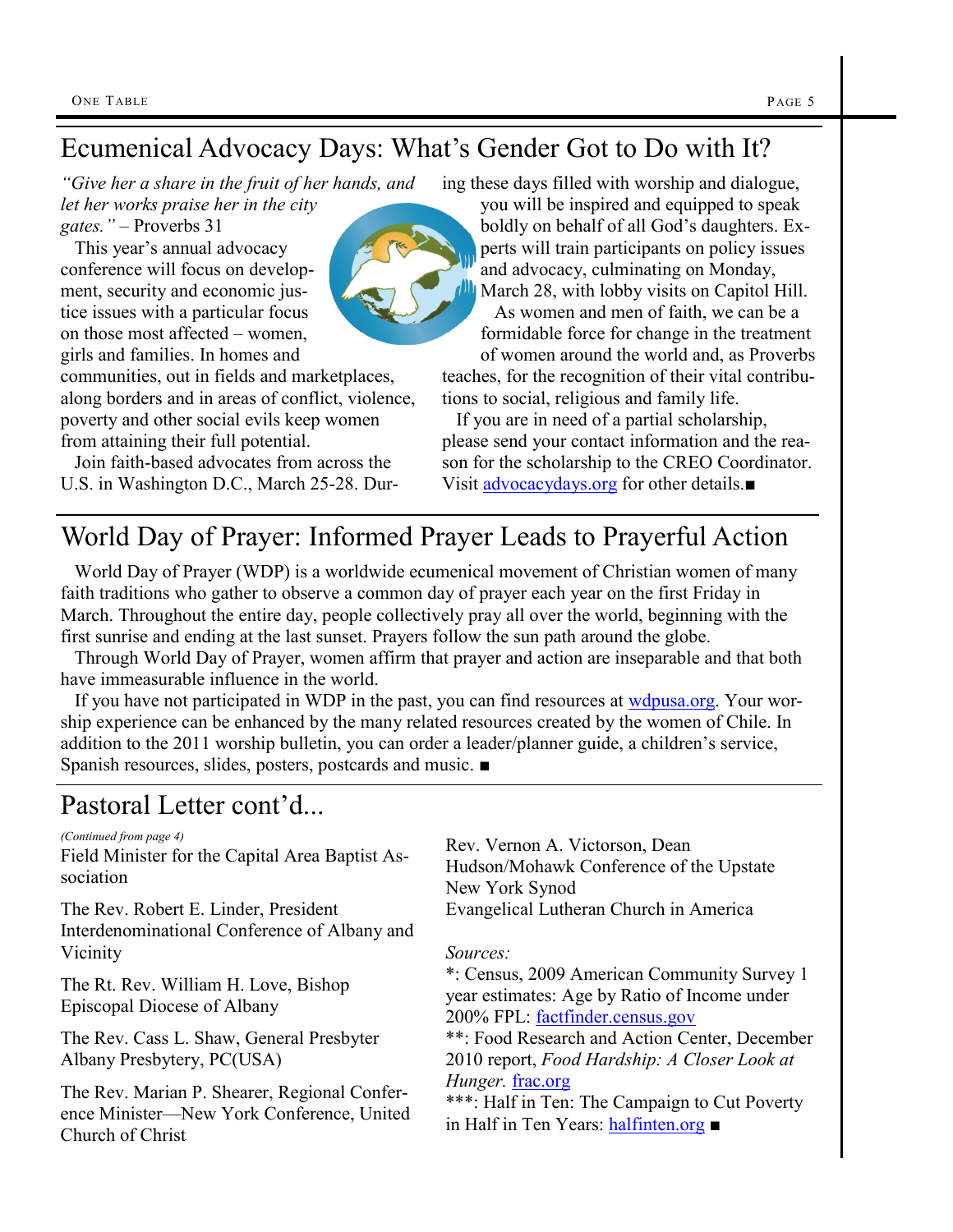# Ecumenical Advocacy Days: What's Gender Got to Do with It?

*"Give her a share in the fruit of her hands, and let her works praise her in the city gates."* – Proverbs 31

 This year's annual advocacy conference will focus on development, security and economic justice issues with a particular focus on those most affected – women, girls and families. In homes and

communities, out in fields and marketplaces, along borders and in areas of conflict, violence, poverty and other social evils keep women from attaining their full potential.

 Join faith-based advocates from across the U.S. in Washington D.C., March 25-28. During these days filled with worship and dialogue,

you will be inspired and equipped to speak boldly on behalf of all God's daughters. Experts will train participants on policy issues and advocacy, culminating on Monday, March 28, with lobby visits on Capitol Hill. As women and men of faith, we can be a formidable force for change in the treatment of women around the world and, as Proverbs

teaches, for the recognition of their vital contributions to social, religious and family life.

 If you are in need of a partial scholarship, please send your contact information and the reason for the scholarship to the CREO Coordinator. Visit [advocacydays.org](http://advocacydays.org/) for other details.■

# World Day of Prayer: Informed Prayer Leads to Prayerful Action

 World Day of Prayer (WDP) is a worldwide ecumenical movement of Christian women of many faith traditions who gather to observe a common day of prayer each year on the first Friday in March. Throughout the entire day, people collectively pray all over the world, beginning with the first sunrise and ending at the last sunset. Prayers follow the sun path around the globe.

 Through World Day of Prayer, women affirm that prayer and action are inseparable and that both have immeasurable influence in the world.

If you have not participated in WDP in the past, you can find resources at [wdpusa.org.](http://www.wdpusa.org) Your worship experience can be enhanced by the many related resources created by the women of Chile. In addition to the 2011 worship bulletin, you can order a leader/planner guide, a children's service, Spanish resources, slides, posters, postcards and music. ■

# Pastoral Letter cont'd...

*(Continued from page 4)*

Field Minister for the Capital Area Baptist Association

The Rev. Robert E. Linder, President Interdenominational Conference of Albany and Vicinity

The Rt. Rev. William H. Love, Bishop Episcopal Diocese of Albany

The Rev. Cass L. Shaw, General Presbyter Albany Presbytery, PC(USA)

The Rev. Marian P. Shearer, Regional Conference Minister—New York Conference, United Church of Christ

Rev. Vernon A. Victorson, Dean Hudson/Mohawk Conference of the Upstate New York Synod Evangelical Lutheran Church in America

#### *Sources:*

\*: Census, 2009 American Community Survey 1 year estimates: Age by Ratio of Income under 200% FPL: [factfinder.census.gov](http://www.factfinder.census.gov)

\*\*: Food Research and Action Center, December 2010 report, *Food Hardship: A Closer Look at Hunger.* [frac.org](http://www.frac.org)

\*\*\*: Half in Ten: The Campaign to Cut Poverty in Half in Ten Years: [halfinten.org](http://www.halfinten.org) ■

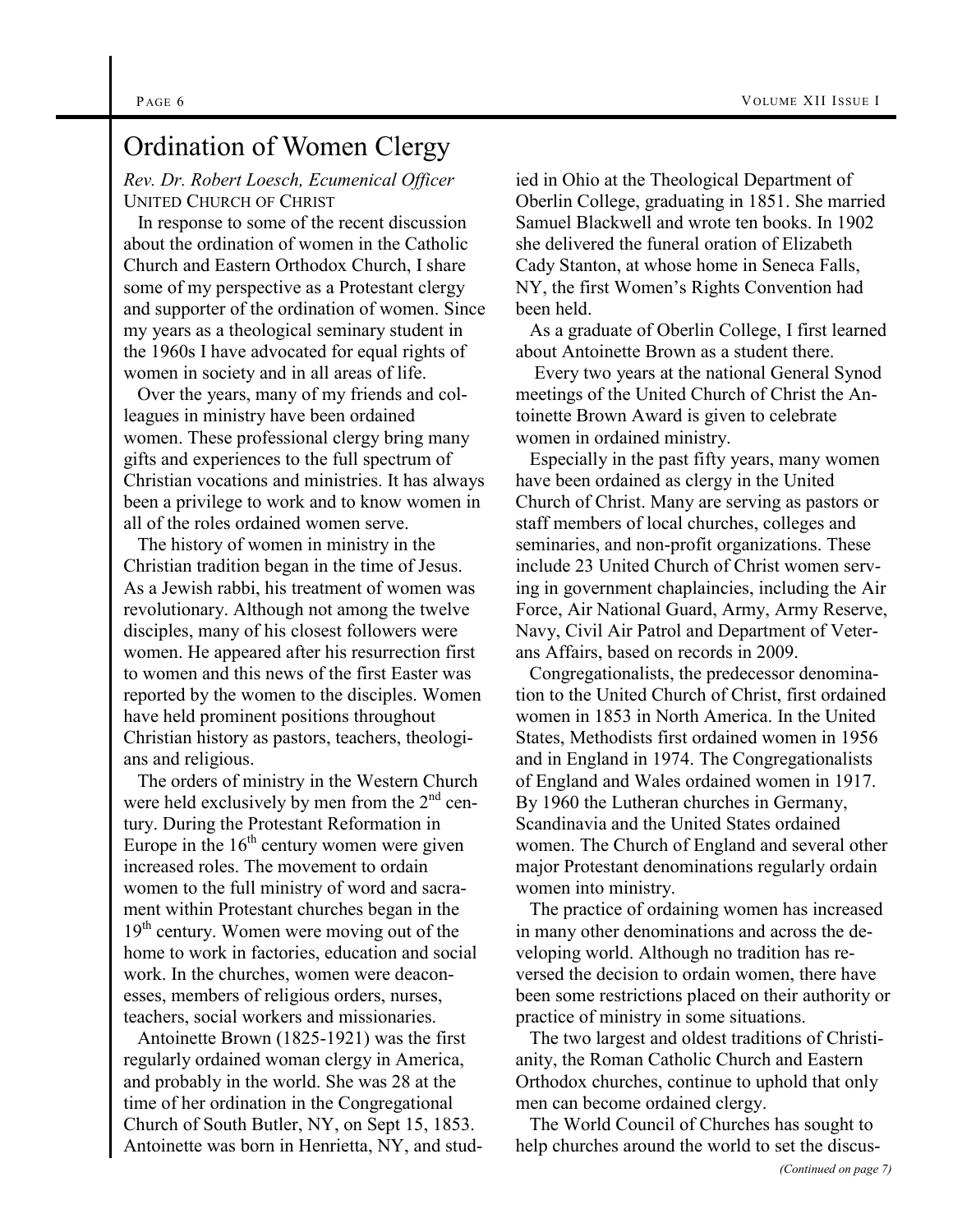# Ordination of Women Clergy

*Rev. Dr. Robert Loesch, Ecumenical Officer* UNITED CHURCH OF CHRIST

 In response to some of the recent discussion about the ordination of women in the Catholic Church and Eastern Orthodox Church, I share some of my perspective as a Protestant clergy and supporter of the ordination of women. Since my years as a theological seminary student in the 1960s I have advocated for equal rights of women in society and in all areas of life.

 Over the years, many of my friends and colleagues in ministry have been ordained women. These professional clergy bring many gifts and experiences to the full spectrum of Christian vocations and ministries. It has always been a privilege to work and to know women in all of the roles ordained women serve.

 The history of women in ministry in the Christian tradition began in the time of Jesus. As a Jewish rabbi, his treatment of women was revolutionary. Although not among the twelve disciples, many of his closest followers were women. He appeared after his resurrection first to women and this news of the first Easter was reported by the women to the disciples. Women have held prominent positions throughout Christian history as pastors, teachers, theologians and religious.

 The orders of ministry in the Western Church were held exclusively by men from the  $2<sup>nd</sup>$  century. During the Protestant Reformation in Europe in the  $16<sup>th</sup>$  century women were given increased roles. The movement to ordain women to the full ministry of word and sacrament within Protestant churches began in the 19<sup>th</sup> century. Women were moving out of the home to work in factories, education and social work. In the churches, women were deaconesses, members of religious orders, nurses, teachers, social workers and missionaries.

 Antoinette Brown (1825-1921) was the first regularly ordained woman clergy in America, and probably in the world. She was 28 at the time of her ordination in the Congregational Church of South Butler, NY, on Sept 15, 1853. Antoinette was born in Henrietta, NY, and studied in Ohio at the Theological Department of Oberlin College, graduating in 1851. She married Samuel Blackwell and wrote ten books. In 1902 she delivered the funeral oration of Elizabeth Cady Stanton, at whose home in Seneca Falls, NY, the first Women's Rights Convention had been held.

 As a graduate of Oberlin College, I first learned about Antoinette Brown as a student there.

 Every two years at the national General Synod meetings of the United Church of Christ the Antoinette Brown Award is given to celebrate women in ordained ministry.

 Especially in the past fifty years, many women have been ordained as clergy in the United Church of Christ. Many are serving as pastors or staff members of local churches, colleges and seminaries, and non-profit organizations. These include 23 United Church of Christ women serving in government chaplaincies, including the Air Force, Air National Guard, Army, Army Reserve, Navy, Civil Air Patrol and Department of Veterans Affairs, based on records in 2009.

 Congregationalists, the predecessor denomination to the United Church of Christ, first ordained women in 1853 in North America. In the United States, Methodists first ordained women in 1956 and in England in 1974. The Congregationalists of England and Wales ordained women in 1917. By 1960 the Lutheran churches in Germany, Scandinavia and the United States ordained women. The Church of England and several other major Protestant denominations regularly ordain women into ministry.

 The practice of ordaining women has increased in many other denominations and across the developing world. Although no tradition has reversed the decision to ordain women, there have been some restrictions placed on their authority or practice of ministry in some situations.

 The two largest and oldest traditions of Christianity, the Roman Catholic Church and Eastern Orthodox churches, continue to uphold that only men can become ordained clergy.

 The World Council of Churches has sought to help churches around the world to set the discus-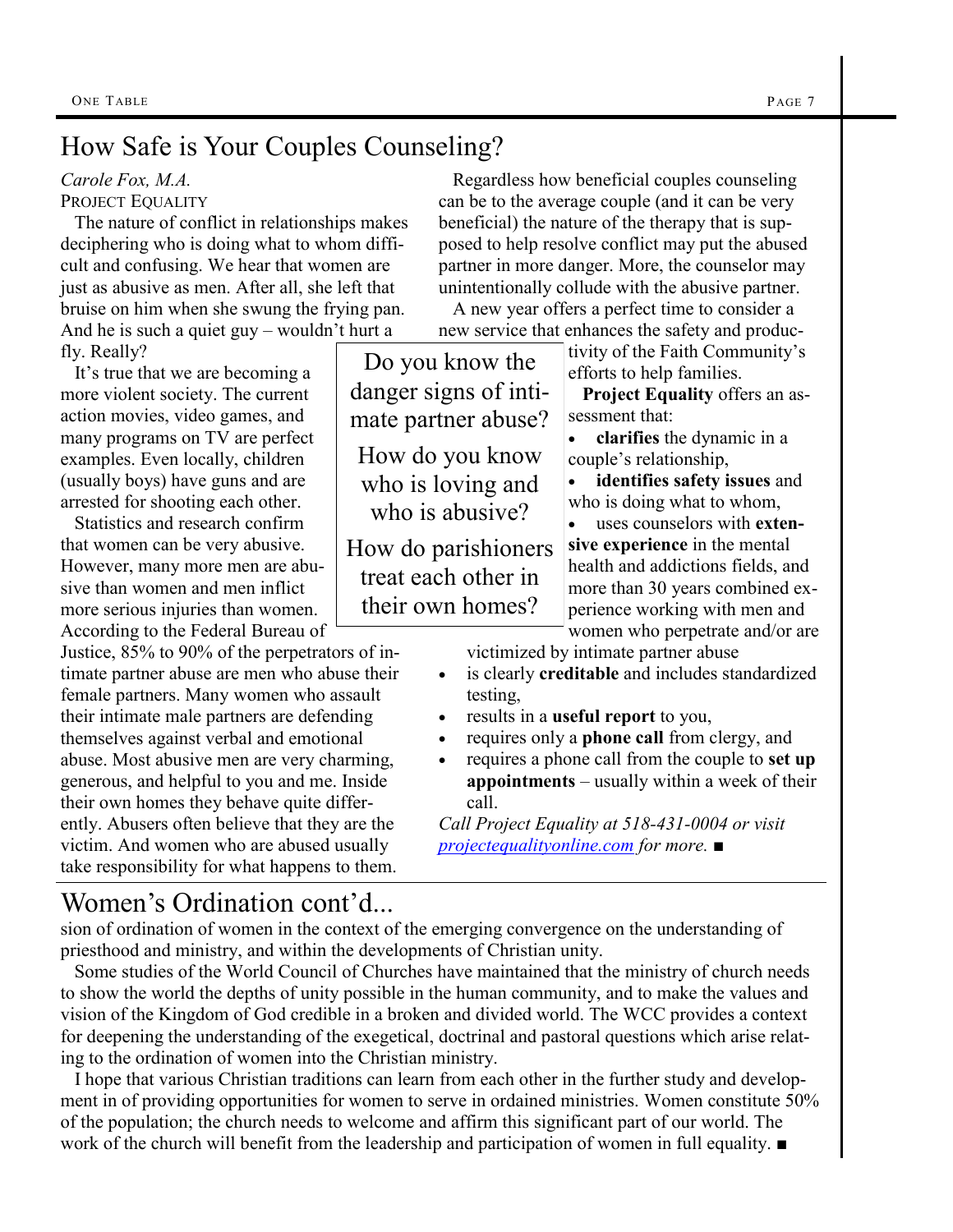# How Safe is Your Couples Counseling?

#### *Carole Fox, M.A.*

PROJECT EQUALITY

 The nature of conflict in relationships makes deciphering who is doing what to whom difficult and confusing. We hear that women are just as abusive as men. After all, she left that bruise on him when she swung the frying pan. And he is such a quiet guy – wouldn't hurt a

fly. Really?

 It's true that we are becoming a more violent society. The current action movies, video games, and many programs on TV are perfect examples. Even locally, children (usually boys) have guns and are arrested for shooting each other.

 Statistics and research confirm that women can be very abusive. However, many more men are abusive than women and men inflict more serious injuries than women. According to the Federal Bureau of

Justice, 85% to 90% of the perpetrators of intimate partner abuse are men who abuse their female partners. Many women who assault their intimate male partners are defending themselves against verbal and emotional abuse. Most abusive men are very charming, generous, and helpful to you and me. Inside their own homes they behave quite differently. Abusers often believe that they are the victim. And women who are abused usually take responsibility for what happens to them.

 Regardless how beneficial couples counseling can be to the average couple (and it can be very beneficial) the nature of the therapy that is supposed to help resolve conflict may put the abused partner in more danger. More, the counselor may unintentionally collude with the abusive partner.

 A new year offers a perfect time to consider a new service that enhances the safety and produc-

Do you know the danger signs of intimate partner abuse? How do you know who is loving and who is abusive?

How do parishioners treat each other in their own homes?

tivity of the Faith Community's efforts to help families.

 **Project Equality** offers an assessment that:

 **clarifies** the dynamic in a couple's relationship,

 **identifies safety issues** and who is doing what to whom,

 uses counselors with **extensive experience** in the mental health and addictions fields, and more than 30 years combined experience working with men and

women who perpetrate and/or are victimized by intimate partner abuse

- is clearly **creditable** and includes standardized testing,
- results in a **useful report** to you,
- requires only a **phone call** from clergy, and
- requires a phone call from the couple to **set up appointments** – usually within a week of their call.

*Call Project Equality at 518-431-0004 or visit [projectequalityonline.com](http://www.projectequalityonline.com) for more.* ■

## Women's Ordination cont'd...

sion of ordination of women in the context of the emerging convergence on the understanding of priesthood and ministry, and within the developments of Christian unity.

 Some studies of the World Council of Churches have maintained that the ministry of church needs to show the world the depths of unity possible in the human community, and to make the values and vision of the Kingdom of God credible in a broken and divided world. The WCC provides a context for deepening the understanding of the exegetical, doctrinal and pastoral questions which arise relating to the ordination of women into the Christian ministry.

 I hope that various Christian traditions can learn from each other in the further study and development in of providing opportunities for women to serve in ordained ministries. Women constitute 50% of the population; the church needs to welcome and affirm this significant part of our world. The work of the church will benefit from the leadership and participation of women in full equality. ■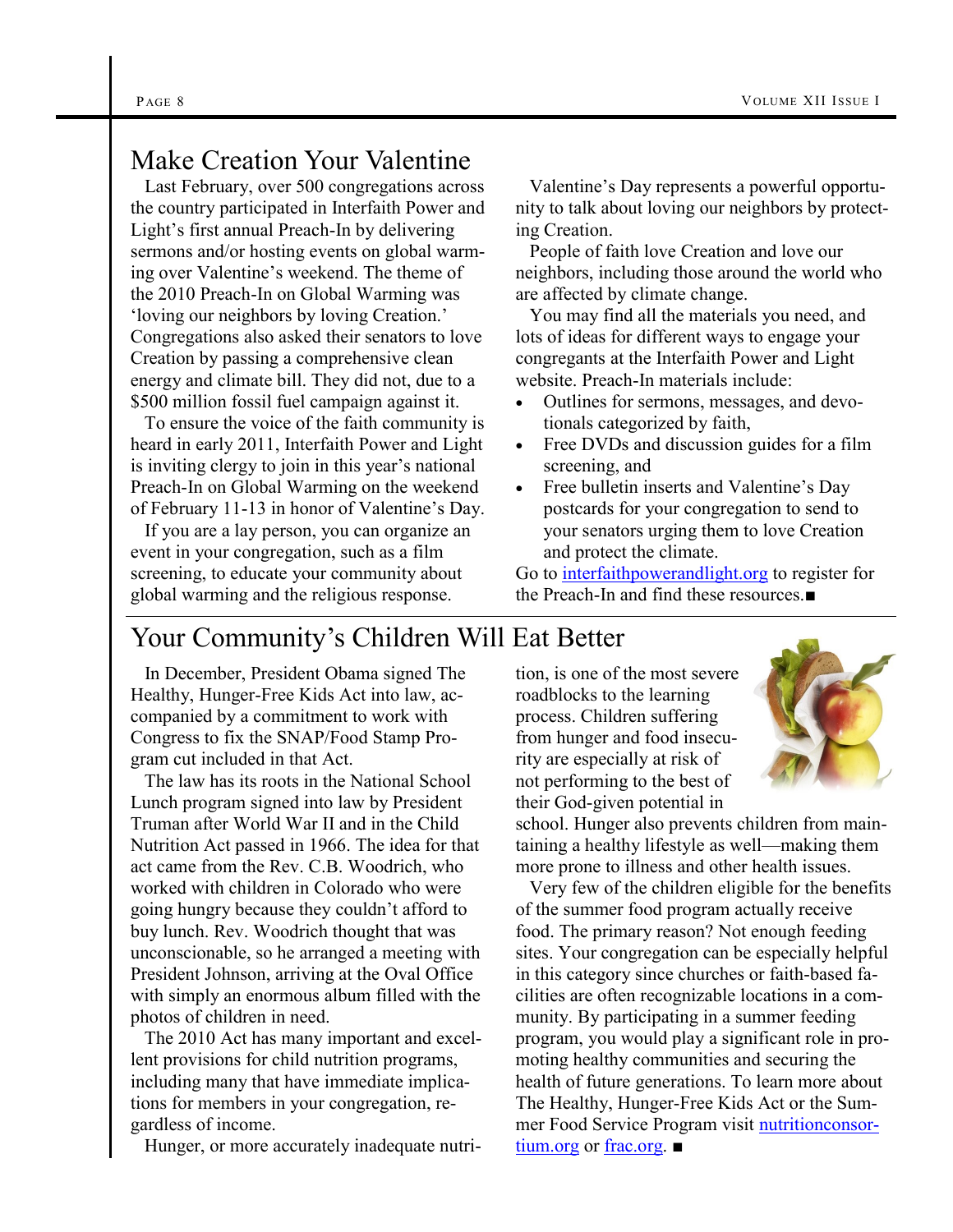## Make Creation Your Valentine

 Last February, over 500 congregations across the country participated in Interfaith Power and Light's first annual Preach-In by delivering sermons and/or hosting events on global warming over Valentine's weekend. The theme of the 2010 Preach-In on Global Warming was 'loving our neighbors by loving Creation.' Congregations also asked their senators to love Creation by passing a comprehensive clean energy and climate bill. They did not, due to a \$500 million fossil fuel campaign against it.

 To ensure the voice of the faith community is heard in early 2011, Interfaith Power and Light is inviting clergy to join in this year's national Preach-In on Global Warming on the weekend of February 11-13 in honor of Valentine's Day.

 If you are a lay person, you can organize an event in your congregation, such as a film screening, to educate your community about global warming and the religious response.

 Valentine's Day represents a powerful opportunity to talk about loving our neighbors by protecting Creation.

 People of faith love Creation and love our neighbors, including those around the world who are affected by climate change.

 You may find all the materials you need, and lots of ideas for different ways to engage your congregants at the Interfaith Power and Light website. Preach-In materials include:

- Outlines for sermons, messages, and devotionals categorized by faith,
- Free DVDs and discussion guides for a film screening, and
- Free bulletin inserts and Valentine's Day postcards for your congregation to send to your senators urging them to love Creation and protect the climate.

Go to [interfaithpowerandlight.org](http://interfaithpowerandlight.org/) to register for the Preach-In and find these resources ■

# Your Community's Children Will Eat Better

 In December, President Obama signed The Healthy, Hunger-Free Kids Act into law, accompanied by a commitment to work with Congress to fix the SNAP/Food Stamp Program cut included in that Act.

 The law has its roots in the National School Lunch program signed into law by President Truman after World War II and in the Child Nutrition Act passed in 1966. The idea for that act came from the Rev. C.B. Woodrich, who worked with children in Colorado who were going hungry because they couldn't afford to buy lunch. Rev. Woodrich thought that was unconscionable, so he arranged a meeting with President Johnson, arriving at the Oval Office with simply an enormous album filled with the photos of children in need.

 The 2010 Act has many important and excellent provisions for child nutrition programs, including many that have immediate implications for members in your congregation, regardless of income.

Hunger, or more accurately inadequate nutri-

tion, is one of the most severe roadblocks to the learning process. Children suffering from hunger and food insecurity are especially at risk of not performing to the best of their God-given potential in



school. Hunger also prevents children from maintaining a healthy lifestyle as well—making them more prone to illness and other health issues.

 Very few of the children eligible for the benefits of the summer food program actually receive food. The primary reason? Not enough feeding sites. Your congregation can be especially helpful in this category since churches or faith-based facilities are often recognizable locations in a community. By participating in a summer feeding program, you would play a significant role in promoting healthy communities and securing the health of future generations. To learn more about The Healthy, Hunger-Free Kids Act or the Summer Food Service Program visit [nutritionconsor](http://www.nutritionconsortium.org)[tium.org](http://www.nutritionconsortium.org) or [frac.org](http://www.frac.org). ■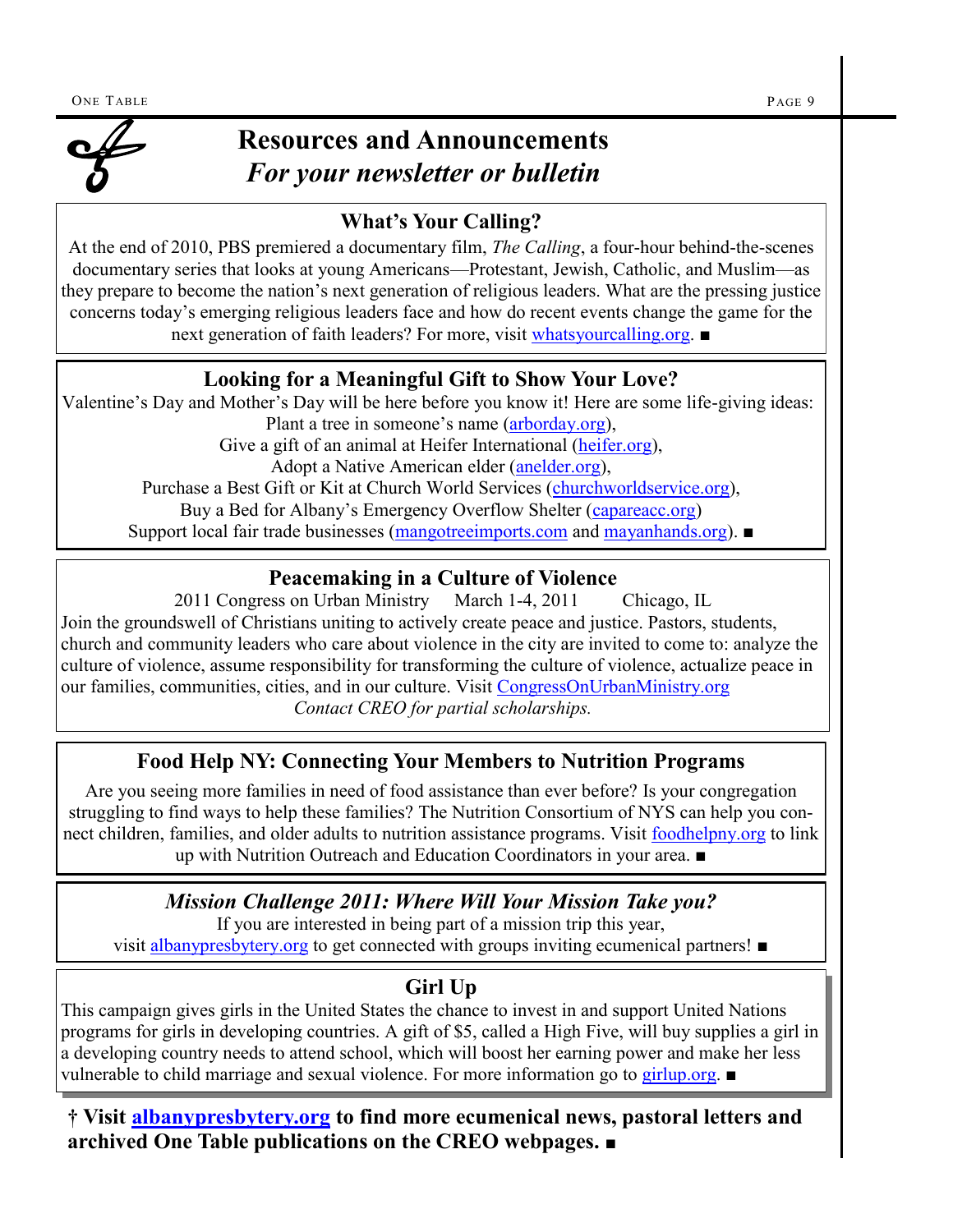

# **Resources and Announcements**  *For your newsletter or bulletin*

#### **What's Your Calling?**

At the end of 2010, PBS premiered a documentary film, *The Calling*, a four-hour behind-the-scenes documentary series that looks at young Americans—Protestant, Jewish, Catholic, and Muslim—as they prepare to become the nation's next generation of religious leaders. What are the pressing justice concerns today's emerging religious leaders face and how do recent events change the game for the next generation of faith leaders? For more, visit [whatsyourcalling.org](http://www.whatsyourcalling.org). ■

#### **Looking for a Meaningful Gift to Show Your Love?**

Valentine's Day and Mother's Day will be here before you know it! Here are some life-giving ideas: Plant a tree in someone's name ([arborday.org\)](http://www.arborday.org), Give a gift of an animal at Heifer International ([heifer.org\),](http://www.heifer.org) Adopt a Native American elder ([anelder.org\),](http://www.anelder.org) Purchase a Best Gift or Kit at Church World Services [\(churchworldservice.org\),](http://www.churchworldservice.org) Buy a Bed for Albany's Emergency Overflow Shelter ([capareacc.org\)](http://www.capareacc.org) Support local fair trade businesses ([mangotreeimports.com](http://www.mangotreeimports.com) and [mayanhands.org](http://www.mayanhands.org)). ■

#### **Peacemaking in a Culture of Violence**

2011 Congress on Urban Ministry March 1-4, 2011 Chicago, IL Join the groundswell of Christians uniting to actively create peace and justice. Pastors, students, church and community leaders who care about violence in the city are invited to come to: analyze the culture of violence, assume responsibility for transforming the culture of violence, actualize peace in our families, communities, cities, and in our culture. Visit [CongressOnUrbanMinistry.org](http://www.CongressOnUrbanMinistry.org) *Contact CREO for partial scholarships.*

#### **Food Help NY: Connecting Your Members to Nutrition Programs**

Are you seeing more families in need of food assistance than ever before? Is your congregation struggling to find ways to help these families? The Nutrition Consortium of NYS can help you connect children, families, and older adults to nutrition assistance programs. Visit [foodhelpny.org](http://www.foodhelpny.org) to link up with Nutrition Outreach and Education Coordinators in your area. ■

#### *Mission Challenge 2011: Where Will Your Mission Take you?*

If you are interested in being part of a mission trip this year, visit [albanypresbytery.org](http://albanypresbytery.org/mission_trips.html) to get connected with groups inviting ecumenical partners! ■

#### **Girl Up**

This campaign gives girls in the United States the chance to invest in and support United Nations programs for girls in developing countries. A gift of \$5, called a High Five, will buy supplies a girl in a developing country needs to attend school, which will boost her earning power and make her less vulnerable to child marriage and sexual violence. For more information go to [girlup.org](http://www.girlup.org). ■

**† Visit [albanypresbytery.org](http://www.albanypresbytery.org/one_table_newsletter.html) to find more ecumenical news, pastoral letters and archived One Table publications on the CREO webpages.** ■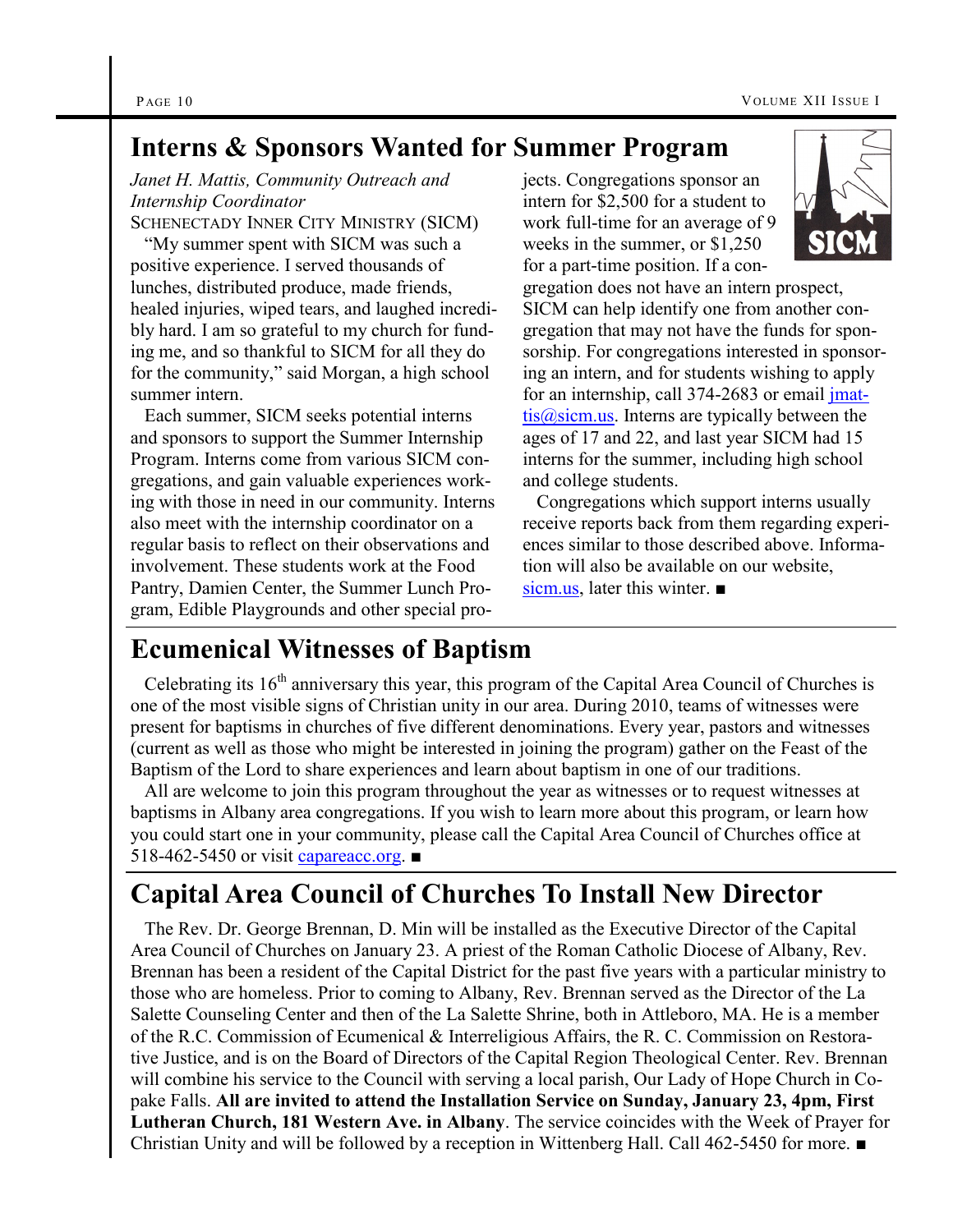#### **Interns & Sponsors Wanted for Summer Program**

*Janet H. Mattis, Community Outreach and Internship Coordinator* SCHENECTADY INNER CITY MINISTRY (SICM)

"My summer spent with SICM was such a positive experience. I served thousands of lunches, distributed produce, made friends, healed injuries, wiped tears, and laughed incredibly hard. I am so grateful to my church for funding me, and so thankful to SICM for all they do for the community," said Morgan, a high school summer intern.

 Each summer, SICM seeks potential interns and sponsors to support the Summer Internship Program. Interns come from various SICM congregations, and gain valuable experiences working with those in need in our community. Interns also meet with the internship coordinator on a regular basis to reflect on their observations and involvement. These students work at the Food Pantry, Damien Center, the Summer Lunch Program, Edible Playgrounds and other special projects. Congregations sponsor an intern for \$2,500 for a student to work full-time for an average of 9 weeks in the summer, or \$1,250 for a part-time position. If a con-



gregation does not have an intern prospect, SICM can help identify one from another congregation that may not have the funds for sponsorship. For congregations interested in sponsoring an intern, and for students wishing to apply for an internship, call 374-2683 or email [jmat](mailto:jmattis@sicm.us) $tis@siem.us.$  Interns are typically between the ages of 17 and 22, and last year SICM had 15 interns for the summer, including high school and college students.

 Congregations which support interns usually receive reports back from them regarding experiences similar to those described above. Information will also be available on our website, [sicm.us](http://www.sicm.us/), later this winter. ■

#### **Ecumenical Witnesses of Baptism**

Celebrating its 16th anniversary this year, this program of the Capital Area Council of Churches is one of the most visible signs of Christian unity in our area. During 2010, teams of witnesses were present for baptisms in churches of five different denominations. Every year, pastors and witnesses (current as well as those who might be interested in joining the program) gather on the Feast of the Baptism of the Lord to share experiences and learn about baptism in one of our traditions.

 All are welcome to join this program throughout the year as witnesses or to request witnesses at baptisms in Albany area congregations. If you wish to learn more about this program, or learn how you could start one in your community, please call the Capital Area Council of Churches office at 518-462-5450 or visit [capareacc.org](http://www.capareacc.org). ■

# **Capital Area Council of Churches To Install New Director**

 The Rev. Dr. George Brennan, D. Min will be installed as the Executive Director of the Capital Area Council of Churches on January 23. A priest of the Roman Catholic Diocese of Albany, Rev. Brennan has been a resident of the Capital District for the past five years with a particular ministry to those who are homeless. Prior to coming to Albany, Rev. Brennan served as the Director of the La Salette Counseling Center and then of the La Salette Shrine, both in Attleboro, MA. He is a member of the R.C. Commission of Ecumenical & Interreligious Affairs, the R. C. Commission on Restorative Justice, and is on the Board of Directors of the Capital Region Theological Center. Rev. Brennan will combine his service to the Council with serving a local parish, Our Lady of Hope Church in Copake Falls. **All are invited to attend the Installation Service on Sunday, January 23, 4pm, First Lutheran Church, 181 Western Ave. in Albany**. The service coincides with the Week of Prayer for Christian Unity and will be followed by a reception in Wittenberg Hall. Call 462-5450 for more. ■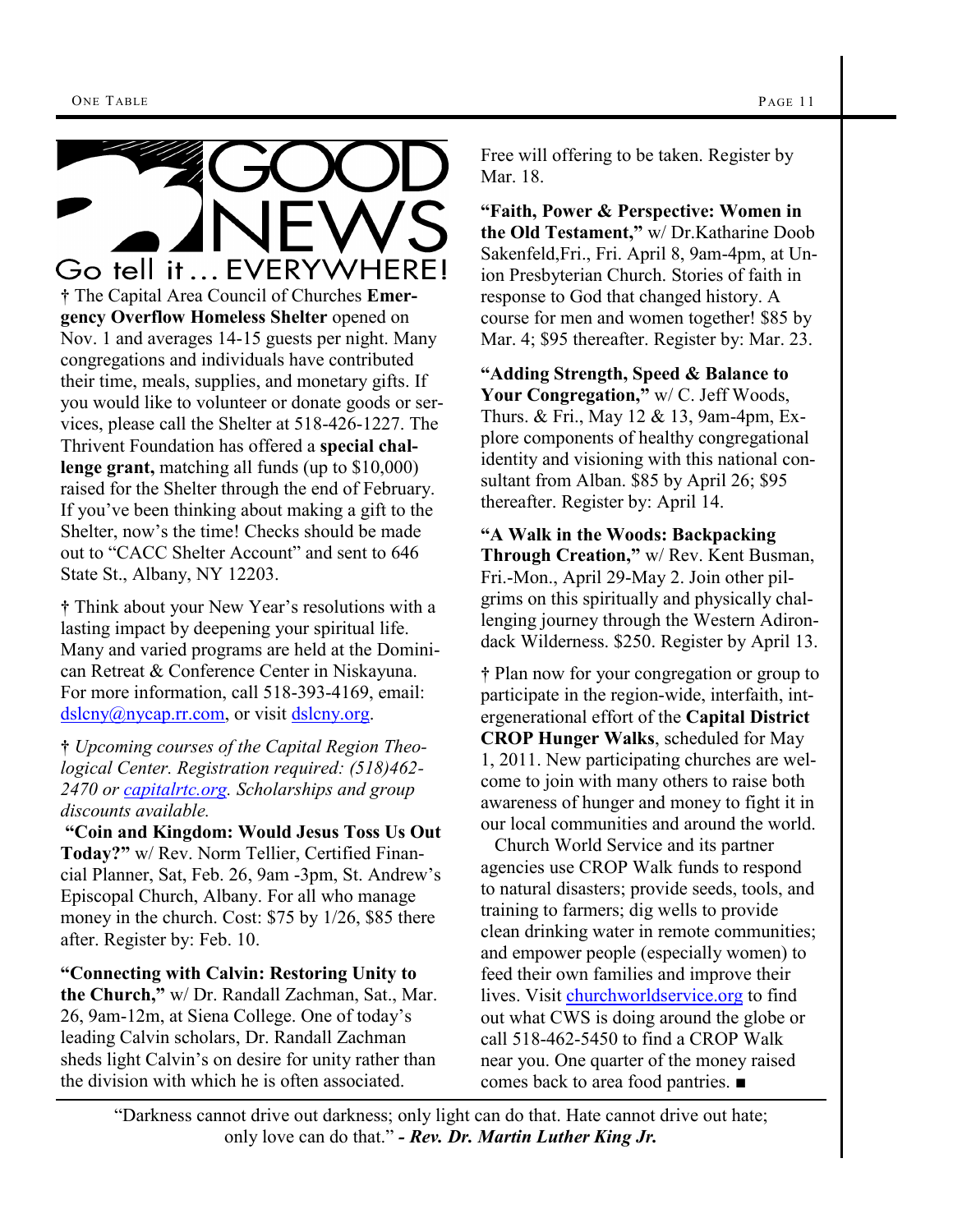

**†** Think about your New Year's resolutions with a lasting impact by deepening your spiritual life. Many and varied programs are held at the Dominican Retreat & Conference Center in Niskayuna. For more information, call 518-393-4169, email: [dslcny@nycap.rr.com,](mailto:dslcny@nycap.rr.com) or visit [dslcny.org.](http://www.dslcny.org/)

**†** *Upcoming courses of the Capital Region Theological Center. Registration required: (518)462- 2470 or [capitalrtc.org.](http://www.capitalrtc.org) Scholarships and group discounts available.* 

**"Coin and Kingdom: Would Jesus Toss Us Out Today?"** w/ Rev. Norm Tellier, Certified Financial Planner, Sat, Feb. 26, 9am -3pm, St. Andrew's Episcopal Church, Albany. For all who manage money in the church. Cost: \$75 by 1/26, \$85 there after. Register by: Feb. 10.

**"Connecting with Calvin: Restoring Unity to the Church,"** w/ Dr. Randall Zachman, Sat., Mar. 26, 9am-12m, at Siena College. One of today's leading Calvin scholars, Dr. Randall Zachman sheds light Calvin's on desire for unity rather than the division with which he is often associated.

Free will offering to be taken. Register by Mar. 18.

**"Faith, Power & Perspective: Women in the Old Testament,"** w/ Dr.Katharine Doob Sakenfeld,Fri., Fri. April 8, 9am-4pm, at Union Presbyterian Church. Stories of faith in response to God that changed history. A course for men and women together! \$85 by Mar. 4; \$95 thereafter. Register by: Mar. 23.

**"Adding Strength, Speed & Balance to Your Congregation,"** w/ C. Jeff Woods, Thurs. & Fri., May 12 & 13, 9am-4pm, Explore components of healthy congregational identity and visioning with this national consultant from Alban. \$85 by April 26; \$95 thereafter. Register by: April 14.

**"A Walk in the Woods: Backpacking Through Creation,"** w/ Rev. Kent Busman, Fri.-Mon., April 29-May 2. Join other pilgrims on this spiritually and physically challenging journey through the Western Adirondack Wilderness. \$250. Register by April 13.

**†** Plan now for your congregation or group to participate in the region-wide, interfaith, intergenerational effort of the **Capital District CROP Hunger Walks**, scheduled for May 1, 2011. New participating churches are welcome to join with many others to raise both awareness of hunger and money to fight it in our local communities and around the world.

 Church World Service and its partner agencies use CROP Walk funds to respond to natural disasters; provide seeds, tools, and training to farmers; dig wells to provide clean drinking water in remote communities; and empower people (especially women) to feed their own families and improve their lives. Visit [churchworldservice.org](http://www.churchworldservice.org) to find out what CWS is doing around the globe or call 518-462-5450 to find a CROP Walk near you. One quarter of the money raised comes back to area food pantries. ■

―Darkness cannot drive out darkness; only light can do that. Hate cannot drive out hate; only love can do that." **- Rev. Dr. Martin Luther King Jr.**